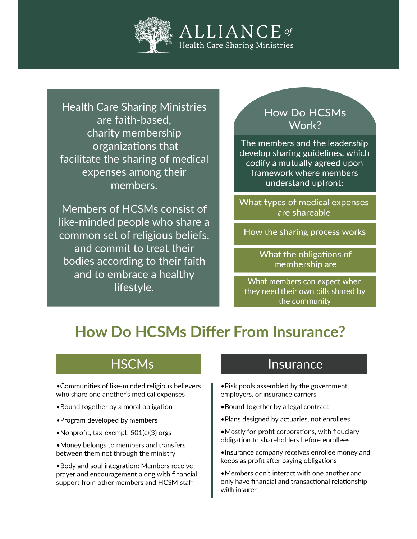

**Health Care Sharing Ministries** are faith-based. charity membership organizations that facilitate the sharing of medical expenses among their members.

Members of HCSMs consist of like-minded people who share a common set of religious beliefs, and commit to treat their bodies according to their faith and to embrace a healthy lifestyle.

#### **How Do HCSMs** Work?

The members and the leadership develop sharing guidelines, which codify a mutually agreed upon framework where members understand upfront:

What types of medical expenses are shareable

How the sharing process works

What the obligations of membership are

```
What members can expect when
they need their own bills shared by
        the community
```
# **How Do HCSMs Differ From Insurance?**

## **HSCMs**

•Communities of like-minded religious believers who share one another's medical expenses

- . Bound together by a moral obligation
- Program developed by members
- •Nonprofit, tax-exempt, 501(c)(3) orgs
- •Money belongs to members and transfers between them not through the ministry

.Body and soul integration: Members receive prayer and encouragement along with financial support from other members and HCSM staff

#### Insurance

- Risk pools assembled by the government, employers, or insurance carriers
- . Bound together by a legal contract
- . Plans designed by actuaries, not enrollees
- Mostly for-profit corporations, with fiduciary obligation to shareholders before enrollees
- •Insurance company receives enrollee money and keeps as profit after paying obligations
- •Members don't interact with one another and only have financial and transactional relationship with insurer